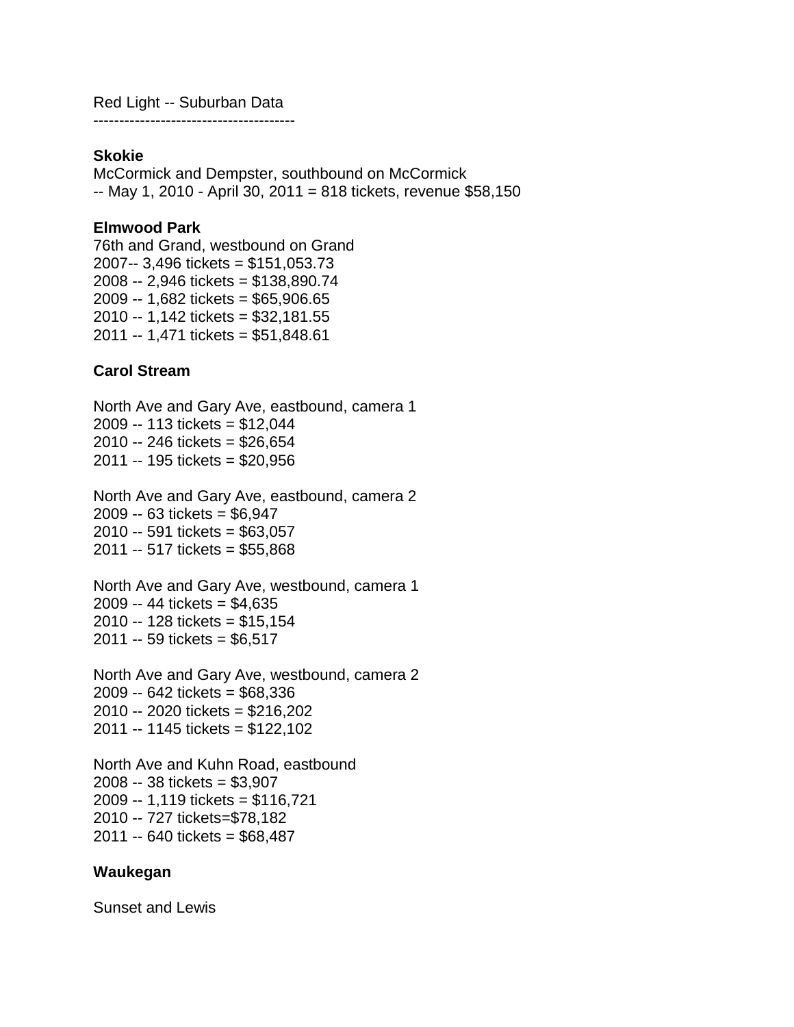Red Light -- Suburban Data ---------------------------------------

#### **Skokie**

McCormick and Dempster, southbound on McCormick -- May 1, 2010 - April 30, 2011 = 818 tickets, revenue \$58,150

## **Elmwood Park**

76th and Grand, westbound on Grand 2007-- 3,496 tickets = \$151,053.73 2008 -- 2,946 tickets = \$138,890.74 2009 -- 1,682 tickets = \$65,906.65 2010 -- 1,142 tickets = \$32,181.55 2011 -- 1,471 tickets = \$51,848.61

## **Carol Stream**

North Ave and Gary Ave, eastbound, camera 1 2009 -- 113 tickets = \$12,044 2010 -- 246 tickets = \$26,654 2011 -- 195 tickets = \$20,956

North Ave and Gary Ave, eastbound, camera 2 2009 -- 63 tickets = \$6,947 2010 -- 591 tickets = \$63,057 2011 -- 517 tickets = \$55,868

North Ave and Gary Ave, westbound, camera 1 2009 -- 44 tickets = \$4,635 2010 -- 128 tickets = \$15,154 2011 -- 59 tickets = \$6,517

North Ave and Gary Ave, westbound, camera 2 2009 -- 642 tickets = \$68,336 2010 -- 2020 tickets = \$216,202 2011 -- 1145 tickets = \$122,102

North Ave and Kuhn Road, eastbound 2008 -- 38 tickets = \$3,907 2009 -- 1,119 tickets = \$116,721 2010 -- 727 tickets=\$78,182 2011 -- 640 tickets = \$68,487

### **Waukegan**

Sunset and Lewis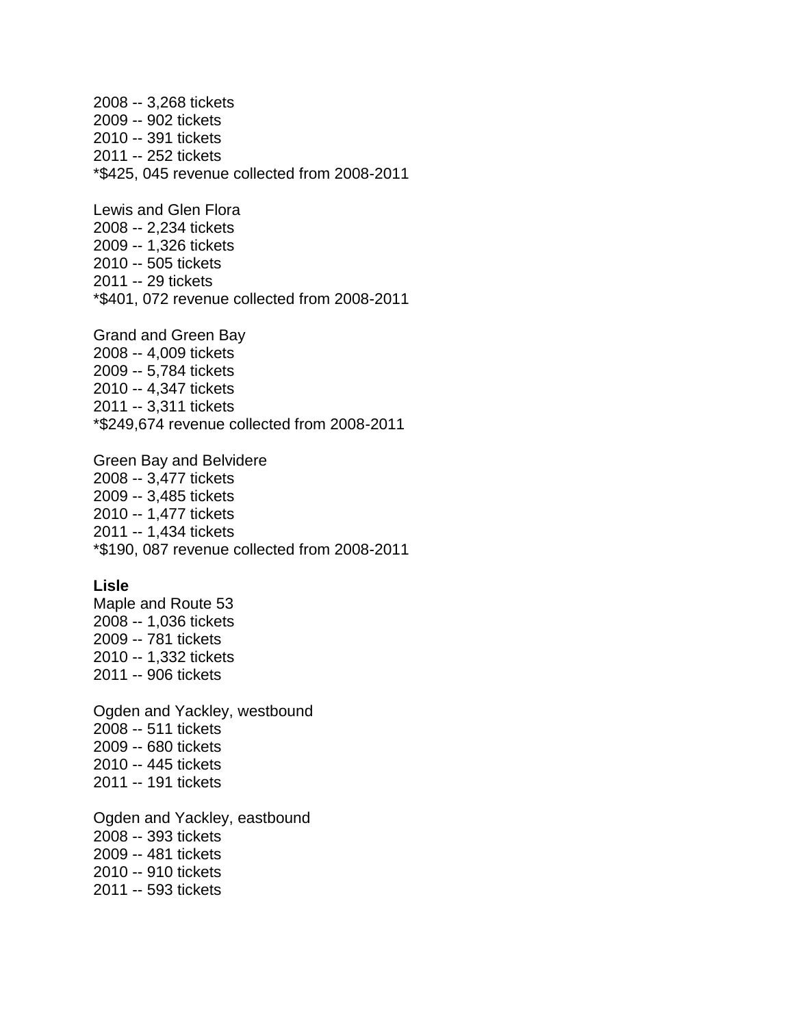2008 -- 3,268 tickets 2009 -- 902 tickets 2010 -- 391 tickets 2011 -- 252 tickets \*\$425, 045 revenue collected from 2008-2011 Lewis and Glen Flora 2008 -- 2,234 tickets 2009 -- 1,326 tickets 2010 -- 505 tickets 2011 -- 29 tickets \*\$401, 072 revenue collected from 2008-2011 Grand and Green Bay 2008 -- 4,009 tickets 2009 -- 5,784 tickets 2010 -- 4,347 tickets 2011 -- 3,311 tickets \*\$249,674 revenue collected from 2008-2011 Green Bay and Belvidere 2008 -- 3,477 tickets 2009 -- 3,485 tickets 2010 -- 1,477 tickets 2011 -- 1,434 tickets \*\$190, 087 revenue collected from 2008-2011 **Lisle**  Maple and Route 53 2008 -- 1,036 tickets 2009 -- 781 tickets 2010 -- 1,332 tickets 2011 -- 906 tickets Ogden and Yackley, westbound 2008 -- 511 tickets 2009 -- 680 tickets 2010 -- 445 tickets 2011 -- 191 tickets Ogden and Yackley, eastbound 2008 -- 393 tickets 2009 -- 481 tickets 2010 -- 910 tickets 2011 -- 593 tickets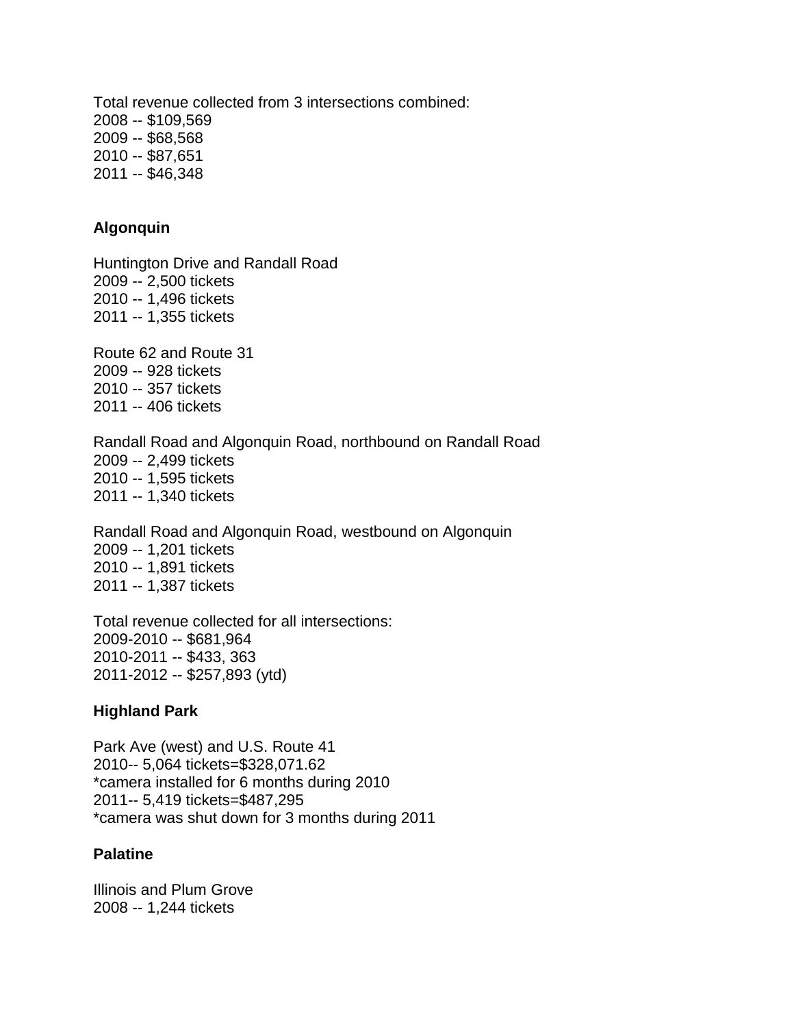Total revenue collected from 3 intersections combined: 2008 -- \$109,569 2009 -- \$68,568 2010 -- \$87,651 2011 -- \$46,348

# **Algonquin**

Huntington Drive and Randall Road 2009 -- 2,500 tickets 2010 -- 1,496 tickets 2011 -- 1,355 tickets

Route 62 and Route 31 2009 -- 928 tickets 2010 -- 357 tickets 2011 -- 406 tickets

Randall Road and Algonquin Road, northbound on Randall Road 2009 -- 2,499 tickets 2010 -- 1,595 tickets 2011 -- 1,340 tickets

Randall Road and Algonquin Road, westbound on Algonquin 2009 -- 1,201 tickets 2010 -- 1,891 tickets 2011 -- 1,387 tickets

Total revenue collected for all intersections: 2009-2010 -- \$681,964 2010-2011 -- \$433, 363 2011-2012 -- \$257,893 (ytd)

### **Highland Park**

Park Ave (west) and U.S. Route 41 2010-- 5,064 tickets=\$328,071.62 \*camera installed for 6 months during 2010 2011-- 5,419 tickets=\$487,295 \*camera was shut down for 3 months during 2011

### **Palatine**

Illinois and Plum Grove 2008 -- 1,244 tickets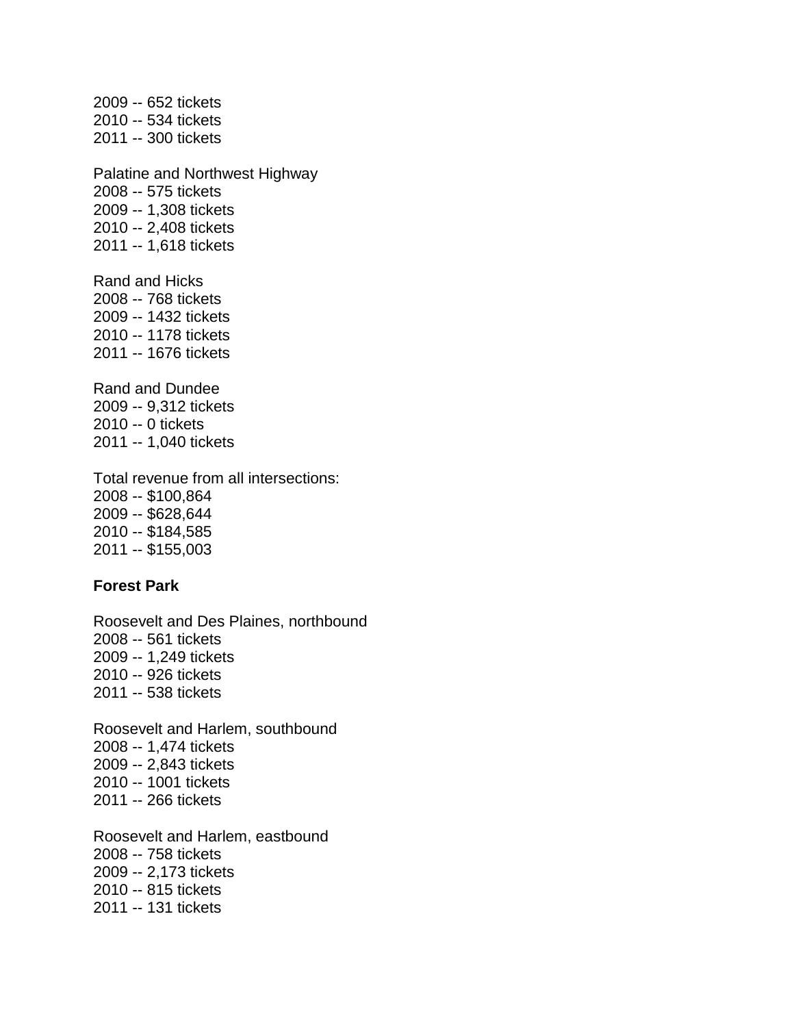2009 -- 652 tickets 2010 -- 534 tickets 2011 -- 300 tickets Palatine and Northwest Highway 2008 -- 575 tickets 2009 -- 1,308 tickets 2010 -- 2,408 tickets 2011 -- 1,618 tickets Rand and Hicks 2008 -- 768 tickets 2009 -- 1432 tickets 2010 -- 1178 tickets 2011 -- 1676 tickets Rand and Dundee 2009 -- 9,312 tickets 2010 -- 0 tickets 2011 -- 1,040 tickets

Total revenue from all intersections: 2008 -- \$100,864 2009 -- \$628,644 2010 -- \$184,585 2011 -- \$155,003

### **Forest Park**

Roosevelt and Des Plaines, northbound 2008 -- 561 tickets 2009 -- 1,249 tickets 2010 -- 926 tickets 2011 -- 538 tickets

Roosevelt and Harlem, southbound 2008 -- 1,474 tickets 2009 -- 2,843 tickets 2010 -- 1001 tickets 2011 -- 266 tickets

Roosevelt and Harlem, eastbound 2008 -- 758 tickets 2009 -- 2,173 tickets 2010 -- 815 tickets 2011 -- 131 tickets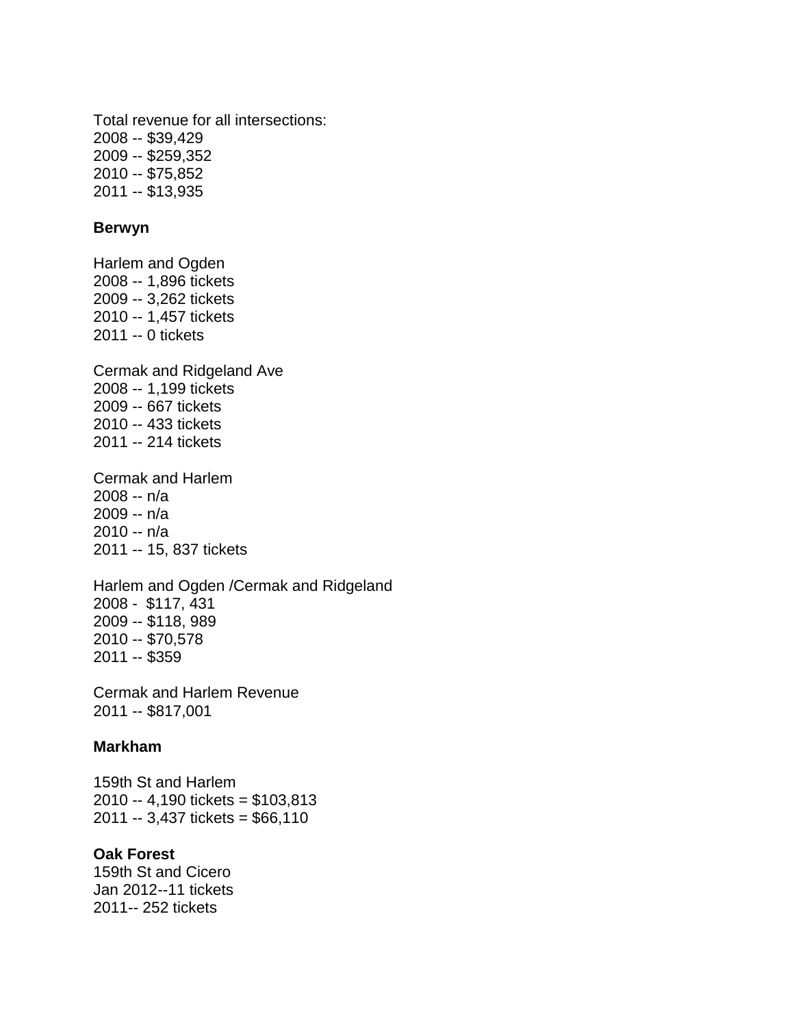Total revenue for all intersections: 2008 -- \$39,429 2009 -- \$259,352 2010 -- \$75,852 2011 -- \$13,935

## **Berwyn**

Harlem and Ogden 2008 -- 1,896 tickets 2009 -- 3,262 tickets 2010 -- 1,457 tickets 2011 -- 0 tickets Cermak and Ridgeland Ave

2008 -- 1,199 tickets 2009 -- 667 tickets 2010 -- 433 tickets 2011 -- 214 tickets

Cermak and Harlem 2008 -- n/a 2009 -- n/a 2010 -- n/a 2011 -- 15, 837 tickets

Harlem and Ogden /Cermak and Ridgeland 2008 - \$117, 431 2009 -- \$118, 989 2010 -- \$70,578 2011 -- \$359

Cermak and Harlem Revenue 2011 -- \$817,001

#### **Markham**

159th St and Harlem 2010 -- 4,190 tickets = \$103,813 2011 -- 3,437 tickets = \$66,110

## **Oak Forest**

159th St and Cicero Jan 2012--11 tickets 2011-- 252 tickets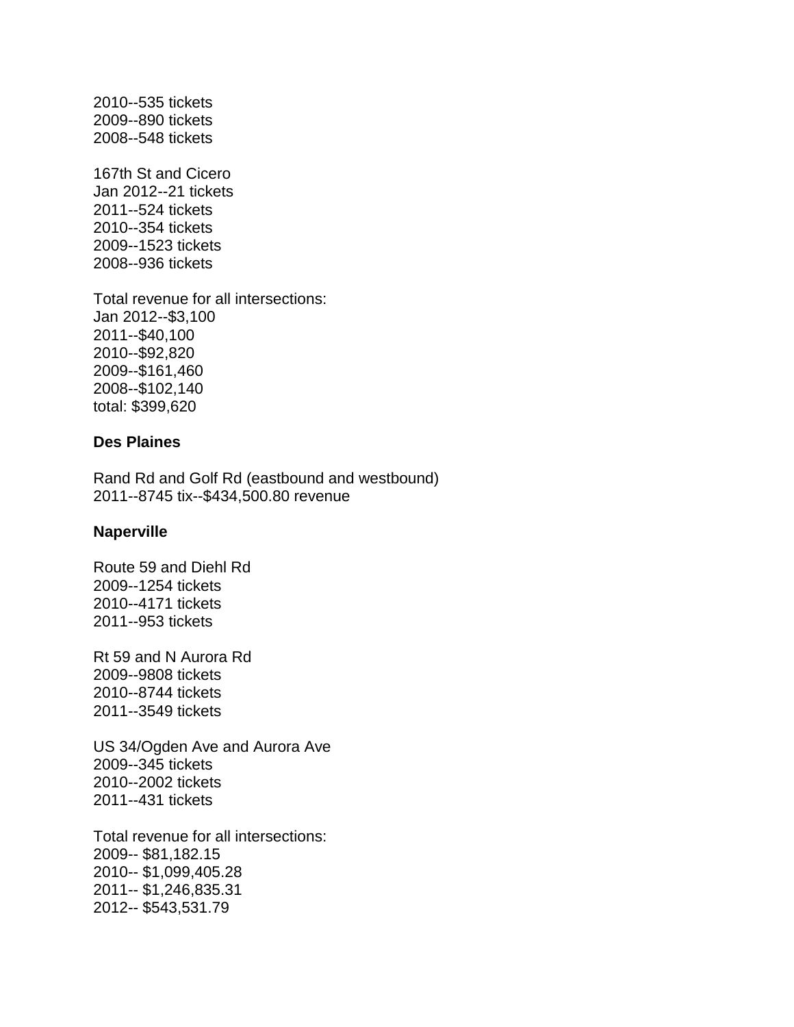2010--535 tickets 2009--890 tickets 2008--548 tickets

167th St and Cicero Jan 2012--21 tickets 2011--524 tickets 2010--354 tickets 2009--1523 tickets 2008--936 tickets

Total revenue for all intersections: Jan 2012--\$3,100 2011--\$40,100 2010--\$92,820 2009--\$161,460 2008--\$102,140 total: \$399,620

### **Des Plaines**

Rand Rd and Golf Rd (eastbound and westbound) 2011--8745 tix--\$434,500.80 revenue

#### **Naperville**

Route 59 and Diehl Rd 2009--1254 tickets 2010--4171 tickets 2011--953 tickets

Rt 59 and N Aurora Rd 2009--9808 tickets 2010--8744 tickets 2011--3549 tickets

US 34/Ogden Ave and Aurora Ave 2009--345 tickets 2010--2002 tickets 2011--431 tickets

Total revenue for all intersections: 2009-- \$81,182.15 2010-- \$1,099,405.28 2011-- \$1,246,835.31 2012-- \$543,531.79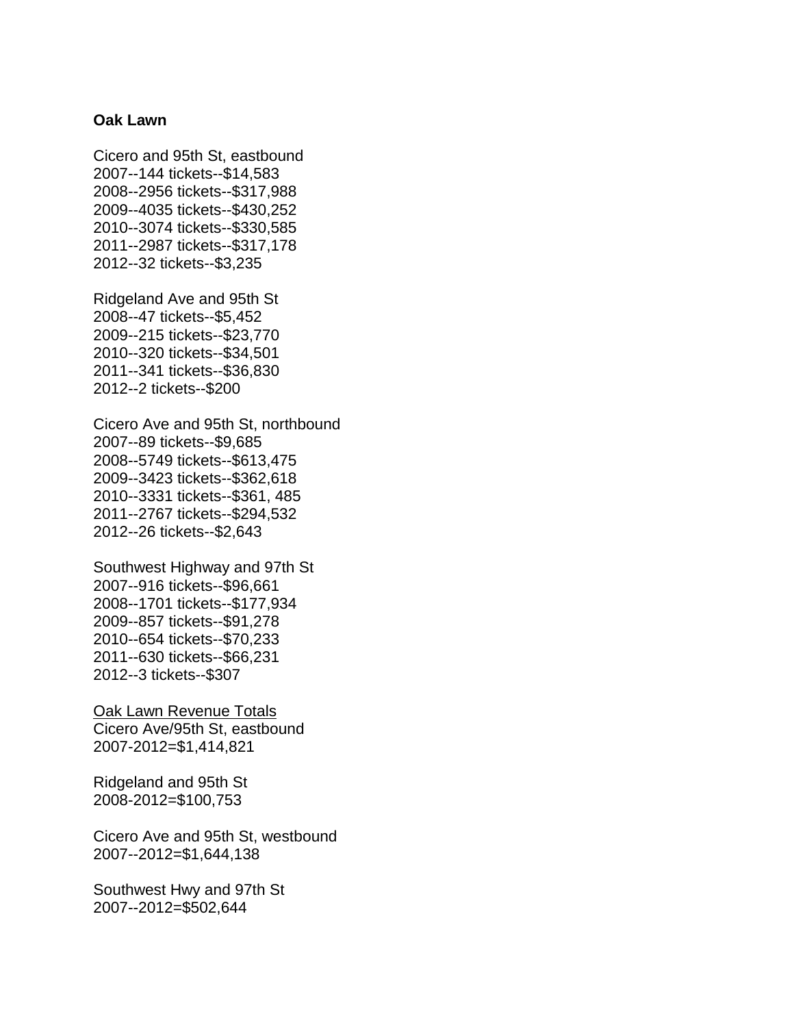#### **Oak Lawn**

Cicero and 95th St, eastbound 2007--144 tickets--\$14,583 2008--2956 tickets--\$317,988 2009--4035 tickets--\$430,252 2010--3074 tickets--\$330,585 2011--2987 tickets--\$317,178 2012--32 tickets--\$3,235

Ridgeland Ave and 95th St 2008--47 tickets--\$5,452 2009--215 tickets--\$23,770 2010--320 tickets--\$34,501 2011--341 tickets--\$36,830 2012--2 tickets--\$200

Cicero Ave and 95th St, northbound 2007--89 tickets--\$9,685 2008--5749 tickets--\$613,475 2009--3423 tickets--\$362,618 2010--3331 tickets--\$361, 485 2011--2767 tickets--\$294,532 2012--26 tickets--\$2,643

Southwest Highway and 97th St 2007--916 tickets--\$96,661 2008--1701 tickets--\$177,934 2009--857 tickets--\$91,278 2010--654 tickets--\$70,233 2011--630 tickets--\$66,231 2012--3 tickets--\$307

Oak Lawn Revenue Totals Cicero Ave/95th St, eastbound 2007-2012=\$1,414,821

Ridgeland and 95th St 2008-2012=\$100,753

Cicero Ave and 95th St, westbound 2007--2012=\$1,644,138

Southwest Hwy and 97th St 2007--2012=\$502,644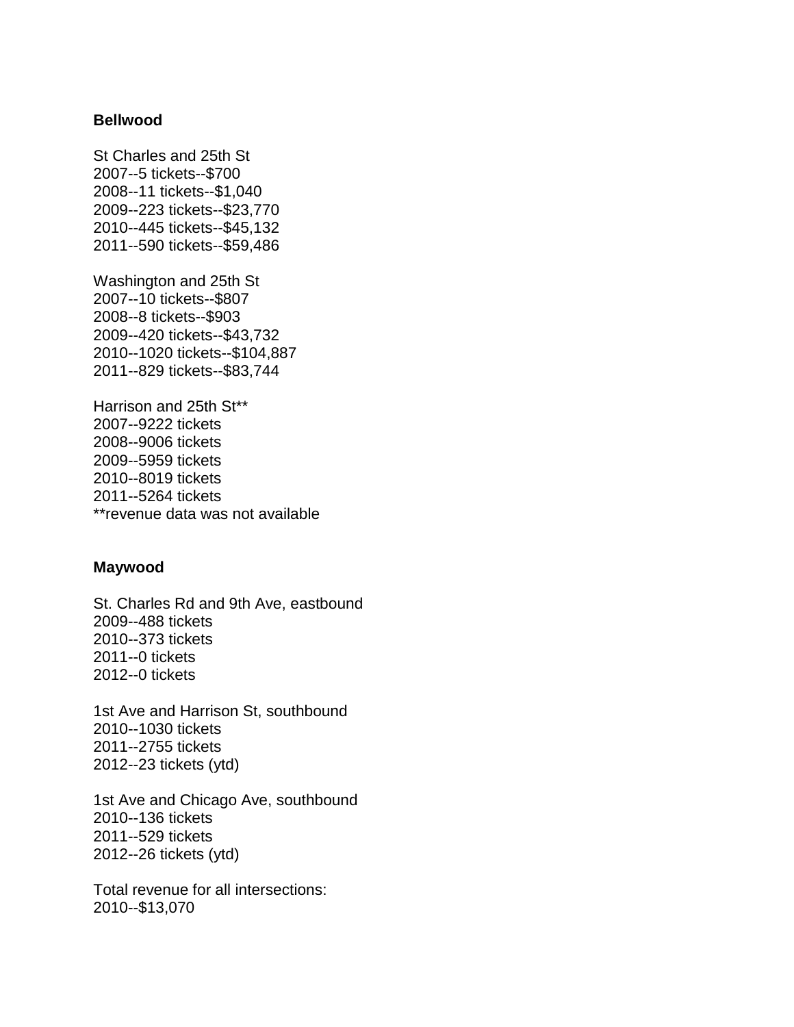#### **Bellwood**

St Charles and 25th St 2007--5 tickets--\$700 2008--11 tickets--\$1,040 2009--223 tickets--\$23,770 2010--445 tickets--\$45,132 2011--590 tickets--\$59,486

Washington and 25th St 2007--10 tickets--\$807 2008--8 tickets--\$903 2009--420 tickets--\$43,732 2010--1020 tickets--\$104,887 2011--829 tickets--\$83,744

Harrison and 25th St\*\* 2007--9222 tickets 2008--9006 tickets 2009--5959 tickets 2010--8019 tickets 2011--5264 tickets \*\*revenue data was not available

### **Maywood**

St. Charles Rd and 9th Ave, eastbound 2009--488 tickets 2010--373 tickets 2011--0 tickets 2012--0 tickets

1st Ave and Harrison St, southbound 2010--1030 tickets 2011--2755 tickets 2012--23 tickets (ytd)

1st Ave and Chicago Ave, southbound 2010--136 tickets 2011--529 tickets 2012--26 tickets (ytd)

Total revenue for all intersections: 2010--\$13,070